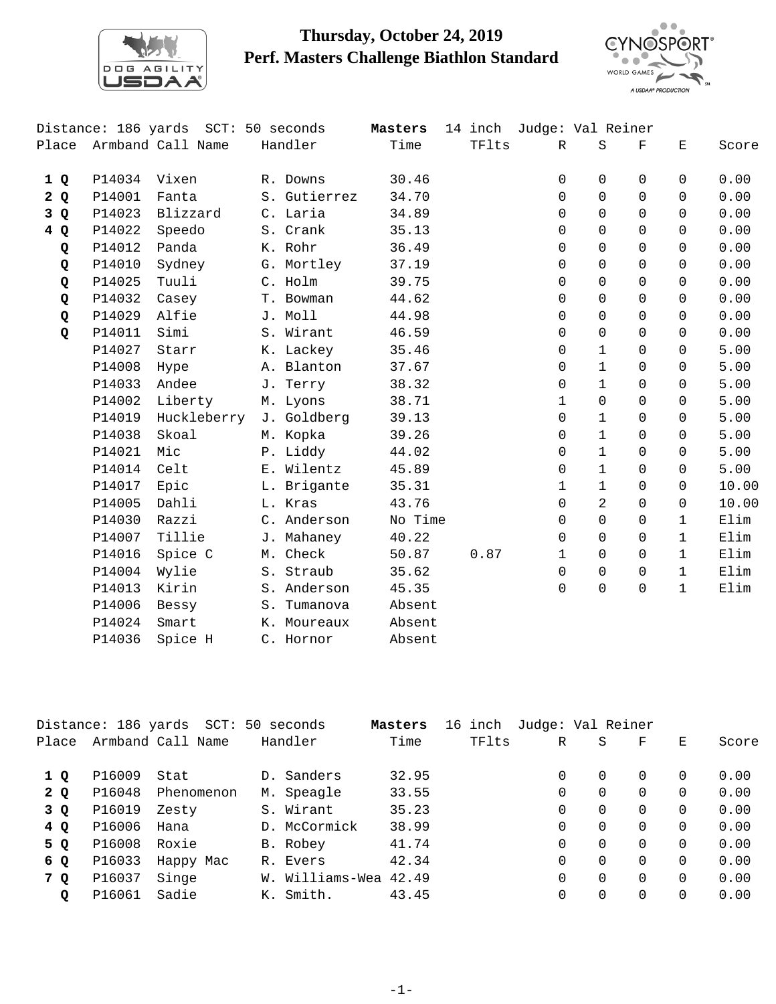

## **Thursday, October 24, 2019 Perf. Masters Challenge Biathlon Standard**



|             |        | Distance: 186 yards SCT: 50 seconds |              | Masters | 14 inch Judge: Val Reiner |              |              |                    |              |       |
|-------------|--------|-------------------------------------|--------------|---------|---------------------------|--------------|--------------|--------------------|--------------|-------|
|             |        | Place Armband Call Name             | Handler      | Time    | TFlts                     | $\mathbb{R}$ | S            | $\mathbf{F}% _{0}$ | Ε            | Score |
| 1 Q         | P14034 | Vixen                               | R. Downs     | 30.46   |                           | 0            | 0            | $\Omega$           | $\Omega$     | 0.00  |
| 2Q          | P14001 | Fanta                               | S. Gutierrez | 34.70   |                           | $\Omega$     | $\Omega$     | $\Omega$           | $\Omega$     | 0.00  |
| 3 Q         | P14023 | Blizzard                            | C. Laria     | 34.89   |                           | $\Omega$     | $\Omega$     | $\Omega$           | $\Omega$     | 0.00  |
| 4 Q         | P14022 | Speedo                              | S. Crank     | 35.13   |                           | 0            | $\Omega$     | $\Omega$           | $\Omega$     | 0.00  |
| Q           | P14012 | Panda                               | K. Rohr      | 36.49   |                           | 0            | $\Omega$     | $\Omega$           | $\Omega$     | 0.00  |
| Q           | P14010 | Sydney                              | G. Mortley   | 37.19   |                           | 0            | $\Omega$     | $\Omega$           | $\Omega$     | 0.00  |
| Q           | P14025 | Tuuli                               | C. Holm      | 39.75   |                           | $\Omega$     | $\Omega$     | $\Omega$           | $\Omega$     | 0.00  |
| Q           | P14032 | Casey                               | T. Bowman    | 44.62   |                           | 0            | $\Omega$     | $\Omega$           | $\Omega$     | 0.00  |
| Q           | P14029 | Alfie                               | J. Moll      | 44.98   |                           | 0            | $\Omega$     | $\Omega$           | $\Omega$     | 0.00  |
| $\mathbf Q$ | P14011 | Simi                                | S. Wirant    | 46.59   |                           | 0            | $\mathsf{O}$ | $\Omega$           | $\Omega$     | 0.00  |
|             | P14027 | Starr                               | K. Lackey    | 35.46   |                           | 0            | $\mathbf{1}$ | $\Omega$           | $\Omega$     | 5.00  |
|             | P14008 | Hype                                | A. Blanton   | 37.67   |                           | 0            | $\mathbf{1}$ | $\Omega$           | $\Omega$     | 5.00  |
|             | P14033 | Andee                               | J. Terry     | 38.32   |                           | 0            | $\mathbf{1}$ | $\Omega$           | $\Omega$     | 5.00  |
|             | P14002 | Liberty                             | M. Lyons     | 38.71   |                           | 1            | $\mathbf 0$  | $\Omega$           | $\Omega$     | 5.00  |
|             | P14019 | Huckleberry                         | J. Goldberg  | 39.13   |                           | 0            | $\mathbf{1}$ | $\Omega$           | $\Omega$     | 5.00  |
|             | P14038 | Skoal                               | M. Kopka     | 39.26   |                           | 0            | $\mathbf{1}$ | $\Omega$           | $\Omega$     | 5.00  |
|             | P14021 | Mic                                 | P. Liddy     | 44.02   |                           | 0            | $\mathbf{1}$ | $\Omega$           | $\Omega$     | 5.00  |
|             | P14014 | Celt                                | E. Wilentz   | 45.89   |                           | 0            | $\mathbf{1}$ | $\Omega$           | $\Omega$     | 5.00  |
|             | P14017 | Epic                                | L. Brigante  | 35.31   |                           | $\mathbf{1}$ | $\mathbf{1}$ | $\Omega$           | $\Omega$     | 10.00 |
|             | P14005 | Dahli                               | L. Kras      | 43.76   |                           | 0            | 2            | $\Omega$           | $\Omega$     | 10.00 |
|             | P14030 | Razzi                               | C. Anderson  | No Time |                           | 0            | 0            | $\Omega$           | $\mathbf{1}$ | Elim  |
|             | P14007 | Tillie                              | J. Mahaney   | 40.22   |                           | 0            | $\mathbf 0$  | $\Omega$           | $\mathbf{1}$ | Elim  |
|             | P14016 | Spice C                             | M. Check     | 50.87   | 0.87                      | $\mathbf{1}$ | $\Omega$     | $\Omega$           | $\mathbf{1}$ | Elim  |
|             | P14004 | Wylie                               | S. Straub    | 35.62   |                           | 0            | $\Omega$     | $\Omega$           | $\mathbf{1}$ | Elim  |
|             | P14013 | Kirin                               | S. Anderson  | 45.35   |                           | $\Omega$     | $\Omega$     | $\Omega$           | $\mathbf{1}$ | Elim  |
|             | P14006 | Bessy                               | S. Tumanova  | Absent  |                           |              |              |                    |              |       |
|             | P14024 | Smart                               | K. Moureaux  | Absent  |                           |              |              |                    |              |       |
|             | P14036 | Spice H                             | C. Hornor    | Absent  |                           |              |              |                    |              |       |

|       |        | Distance: 186 yards SCT: 50 seconds |                 | Masters | 16 inch | Judge: Val Reiner |          |          |          |       |
|-------|--------|-------------------------------------|-----------------|---------|---------|-------------------|----------|----------|----------|-------|
| Place |        | Armband Call Name                   | Handler         | Time    | TFlts   | R                 | S        | F        | Е        | Score |
| 1 Q   | P16009 | Stat                                | D. Sanders      | 32.95   |         | 0                 | $\Omega$ | 0        | $\Omega$ | 0.00  |
| 2Q    | P16048 | Phenomenon                          | M. Speagle      | 33.55   |         | 0                 | $\Omega$ | 0        | $\Omega$ | 0.00  |
| 3 Q   | P16019 | Zesty                               | S. Wirant       | 35.23   |         | 0                 | $\Omega$ | 0        | $\Omega$ | 0.00  |
| 4 Q   | P16006 | Hana                                | D. McCormick    | 38.99   |         | 0                 | $\Omega$ | $\Omega$ | $\Omega$ | 0.00  |
| 5 Q   | P16008 | Roxie                               | B. Robey        | 41.74   |         | $\Omega$          | $\Omega$ | 0        | $\Omega$ | 0.00  |
| 6 Q   | P16033 | Happy Mac                           | R. Evers        | 42.34   |         | 0                 | $\Omega$ | $\Omega$ | $\Omega$ | 0.00  |
| 7 Q   | P16037 | Singe                               | W. Williams-Wea | 42.49   |         | $\Omega$          | $\Omega$ | 0        | $\Omega$ | 0.00  |
| Q     | P16061 | Sadie                               | K. Smith.       | 43.45   |         | $\Omega$          | $\Omega$ | 0        |          | 0.00  |
|       |        |                                     |                 |         |         |                   |          |          |          |       |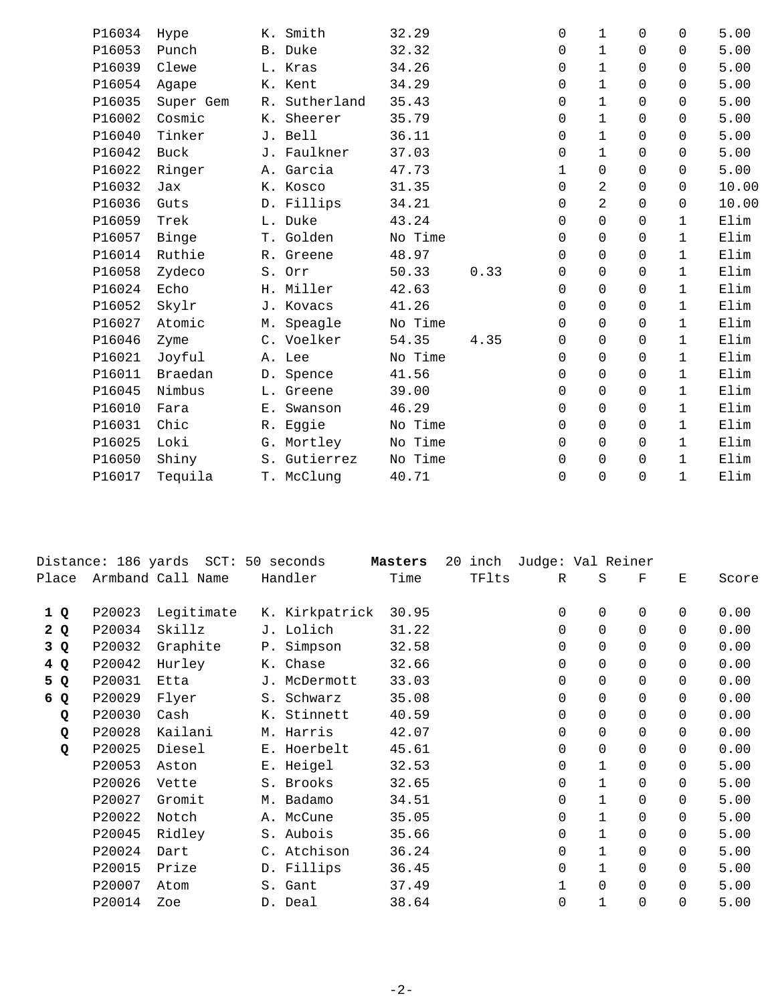| P16034 | Hype           | K. Smith      | 32.29   |      | $\Omega$    | $\mathbf{1}$   | $\Omega$ | $\Omega$     | 5.00  |
|--------|----------------|---------------|---------|------|-------------|----------------|----------|--------------|-------|
| P16053 | Punch          | B. Duke       | 32.32   |      | $\Omega$    | $\mathbf{1}$   | $\Omega$ | $\Omega$     | 5.00  |
| P16039 | Clewe          | L. Kras       | 34.26   |      | 0           | $\mathbf{1}$   | $\Omega$ | $\mathsf{O}$ | 5.00  |
| P16054 | Agape          | K. Kent       | 34.29   |      | 0           | $\mathbf 1$    | $\Omega$ | $\Omega$     | 5.00  |
| P16035 | Super Gem      | R. Sutherland | 35.43   |      | $\Omega$    | $\mathbf{1}$   | $\Omega$ | $\Omega$     | 5.00  |
| P16002 | Cosmic         | K. Sheerer    | 35.79   |      | $\Omega$    | $\mathbf{1}$   | $\Omega$ | $\Omega$     | 5.00  |
| P16040 | Tinker         | J. Bell       | 36.11   |      | 0           | $\mathbf{1}$   | $\Omega$ | $\Omega$     | 5.00  |
| P16042 | Buck           | J. Faulkner   | 37.03   |      | 0           | $\mathbf{1}$   | $\Omega$ | $\Omega$     | 5.00  |
| P16022 | Ringer         | A. Garcia     | 47.73   |      | $\mathbf 1$ | $\mathsf{O}$   | $\Omega$ | $\Omega$     | 5.00  |
| P16032 | Jax            | K. Kosco      | 31.35   |      | $\Omega$    | $\overline{a}$ | $\Omega$ | $\Omega$     | 10.00 |
| P16036 | Guts           | D. Fillips    | 34.21   |      | 0           | $\overline{2}$ | $\Omega$ | $\Omega$     | 10.00 |
| P16059 | Trek           | L. Duke       | 43.24   |      | 0           | $\mathsf{O}$   | $\Omega$ | $\mathbf{1}$ | Elim  |
| P16057 | Binge          | T. Golden     | No Time |      | $\Omega$    | $\Omega$       | $\Omega$ | $\mathbf{1}$ | Elim  |
| P16014 | Ruthie         | R. Greene     | 48.97   |      | $\Omega$    | $\Omega$       | $\Omega$ | $\mathbf{1}$ | Elim  |
| P16058 | Zydeco         | S. Orr        | 50.33   | 0.33 | 0           | 0              | $\Omega$ | $\mathbf{1}$ | Elim  |
| P16024 | Echo           | H. Miller     | 42.63   |      | $\Omega$    | $\Omega$       | $\Omega$ | $\mathbf{1}$ | Elim  |
| P16052 | Skylr          | J. Kovacs     | 41.26   |      | $\Omega$    | $\Omega$       | $\Omega$ | $\mathbf{1}$ | Elim  |
| P16027 | Atomic         | M. Speagle    | No Time |      | $\Omega$    | $\Omega$       | $\Omega$ | $\mathbf{1}$ | Elim  |
| P16046 | Zyme           | C. Voelker    | 54.35   | 4.35 | 0           | 0              | $\Omega$ | $\mathbf{1}$ | Elim  |
| P16021 | Joyful         | A. Lee        | No Time |      | 0           | $\mathbf 0$    | $\Omega$ | $\mathbf{1}$ | Elim  |
| P16011 | <b>Braedan</b> | D. Spence     | 41.56   |      | $\Omega$    | $\Omega$       | $\Omega$ | $\mathbf{1}$ | Elim  |
| P16045 | Nimbus         | L. Greene     | 39.00   |      | $\Omega$    | $\Omega$       | $\Omega$ | $\mathbf{1}$ | Elim  |
| P16010 | Fara           | E. Swanson    | 46.29   |      | 0           | 0              | $\Omega$ | $\mathbf{1}$ | Elim  |
| P16031 | Chic           | R. Eggie      | No Time |      | 0           | $\mathbf 0$    | $\Omega$ | $\mathbf{1}$ | Elim  |
| P16025 | Loki           | G. Mortley    | No Time |      | 0           | $\Omega$       | $\Omega$ | $\mathbf{1}$ | Elim  |
| P16050 | Shiny          | S. Gutierrez  | No Time |      | 0           | $\mathbf 0$    | $\Omega$ | $\mathbf 1$  | Elim  |
| P16017 | Tequila        | T. McClung    | 40.71   |      | 0           | $\Omega$       | 0        | $\mathbf{1}$ | Elim  |
|        |                |               |         |      |             |                |          |              |       |

|       |        | Distance: 186 yards SCT: 50 seconds |                | Masters | 20<br>inch | Judge: Val Reiner |              |             |          |       |
|-------|--------|-------------------------------------|----------------|---------|------------|-------------------|--------------|-------------|----------|-------|
| Place |        | Armband Call Name                   | Handler        | Time    | TFlts      | R                 | S            | $\mathbf F$ | Ε        | Score |
| 1Q    | P20023 | Legitimate                          | K. Kirkpatrick | 30.95   |            | 0                 | 0            | $\Omega$    | 0        | 0.00  |
| 2Q    | P20034 | Skillz                              | J. Lolich      | 31.22   |            | $\Omega$          | $\Omega$     | $\Omega$    | $\Omega$ | 0.00  |
| 3 Q   | P20032 | Graphite                            | P. Simpson     | 32.58   |            | $\Omega$          | $\Omega$     | $\Omega$    | $\Omega$ | 0.00  |
| 4 Q   | P20042 | Hurley                              | K. Chase       | 32.66   |            | 0                 | 0            | $\Omega$    | 0        | 0.00  |
| 5 Q   | P20031 | Etta                                | J. McDermott   | 33.03   |            | $\Omega$          | $\Omega$     | $\Omega$    | 0        | 0.00  |
| 6 Q   | P20029 | Flyer                               | S. Schwarz     | 35.08   |            | 0                 | $\Omega$     | $\Omega$    | 0        | 0.00  |
| Q     | P20030 | Cash                                | K. Stinnett    | 40.59   |            | $\Omega$          | $\Omega$     | $\Omega$    | 0        | 0.00  |
| Q     | P20028 | Kailani                             | M. Harris      | 42.07   |            | $\Omega$          | $\Omega$     | $\Omega$    | 0        | 0.00  |
| Q     | P20025 | Diesel                              | E. Hoerbelt    | 45.61   |            | 0                 | 0            | $\Omega$    | 0        | 0.00  |
|       | P20053 | Aston                               | E. Heigel      | 32.53   |            | 0                 | 1            | $\Omega$    | 0        | 5.00  |
|       | P20026 | Vette                               | S. Brooks      | 32.65   |            | 0                 | 1            | $\Omega$    | 0        | 5.00  |
|       | P20027 | Gromit                              | M. Badamo      | 34.51   |            | $\Omega$          | $\mathbf 1$  | $\Omega$    | 0        | 5.00  |
|       | P20022 | Notch                               | A. McCune      | 35.05   |            | $\Omega$          | $\mathbf{1}$ | $\Omega$    | 0        | 5.00  |
|       | P20045 | Ridley                              | S. Aubois      | 35.66   |            | $\Omega$          | $\mathbf{1}$ | $\Omega$    | 0        | 5.00  |
|       | P20024 | Dart                                | C. Atchison    | 36.24   |            | $\Omega$          | $\mathbf{1}$ | $\Omega$    | 0        | 5.00  |
|       | P20015 | Prize                               | D. Fillips     | 36.45   |            | 0                 | 1            | $\Omega$    | 0        | 5.00  |
|       | P20007 | Atom                                | S. Gant        | 37.49   |            | 1                 | $\Omega$     | $\Omega$    | 0        | 5.00  |
|       | P20014 | Zoe                                 | D. Deal        | 38.64   |            | $\mathbf 0$       | 1            | $\Omega$    | 0        | 5.00  |
|       |        |                                     |                |         |            |                   |              |             |          |       |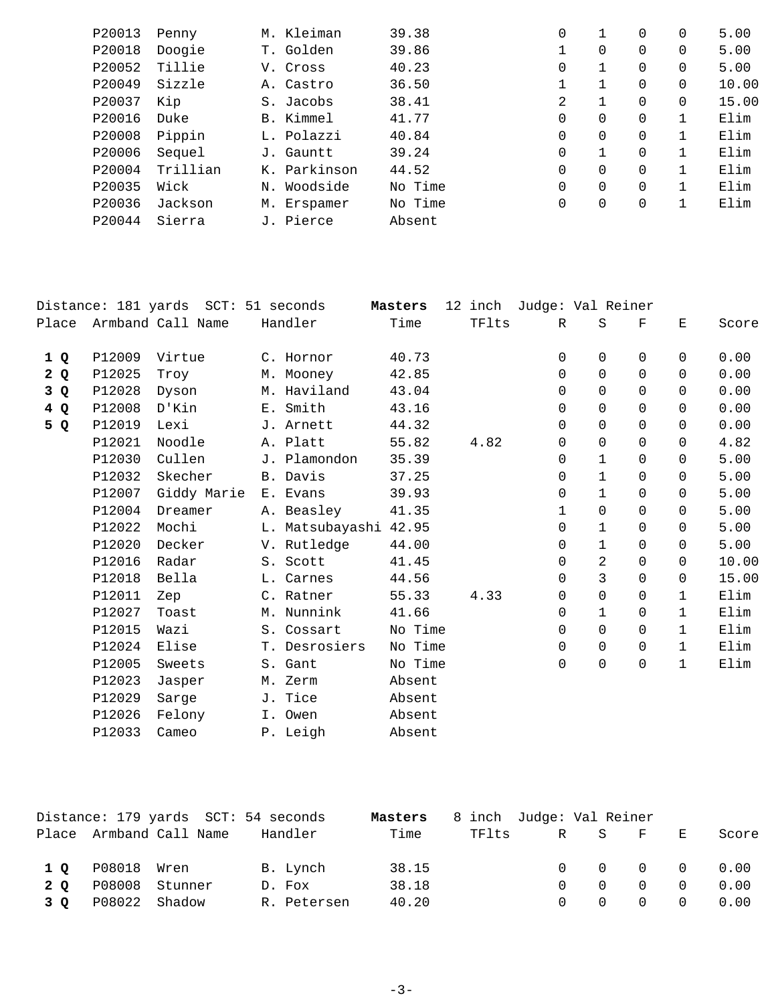| P20013 | Penny    | M. Kleiman   | 39.38   | 0           |          | $\Omega$ | 0 | 5.00  |
|--------|----------|--------------|---------|-------------|----------|----------|---|-------|
| P20018 | Doogie   | T. Golden    | 39.86   |             | 0        | 0        |   | 5.00  |
| P20052 | Tillie   | V. Cross     | 40.23   | 0           |          | 0        | 0 | 5.00  |
| P20049 | Sizzle   | A. Castro    | 36.50   |             |          | $\Omega$ |   | 10.00 |
| P20037 | Kip      | S. Jacobs    | 38.41   | 2           |          | $\Omega$ |   | 15.00 |
| P20016 | Duke     | B. Kimmel    | 41.77   | $\Omega$    | 0        | $\Omega$ |   | Elim  |
| P20008 | Pippin   | L. Polazzi   | 40.84   | $\Omega$    | 0        | $\Omega$ |   | Elim  |
| P20006 | Sequel   | J. Gauntt    | 39.24   | 0           |          | $\Omega$ |   | Elim  |
| P20004 | Trillian | K. Parkinson | 44.52   | $\mathbf 0$ | $\Omega$ | $\Omega$ |   | Elim  |
| P20035 | Wick     | N. Woodside  | No Time | $\mathbf 0$ | $\Omega$ | $\Omega$ |   | Elim  |
| P20036 | Jackson  | M. Erspamer  | No Time | 0           | 0        | 0        |   | Elim  |
| P20044 | Sierra   | J. Pierce    | Absent  |             |          |          |   |       |
|        |          |              |         |             |          |          |   |       |

|     |        | Distance: 181 yards SCT: 51 seconds |                       | Masters |       | 12 inch Judge: Val Reiner |              |             |              |       |
|-----|--------|-------------------------------------|-----------------------|---------|-------|---------------------------|--------------|-------------|--------------|-------|
|     |        | Place Armband Call Name             | Handler               | Time    | TFlts | R                         | S            | $\mathbf F$ | Ε            | Score |
| 1 Q | P12009 | Virtue                              | C. Hornor             | 40.73   |       | 0                         | $\Omega$     | 0           | $\Omega$     | 0.00  |
| 2Q  | P12025 | Troy                                | M. Mooney             | 42.85   |       | 0                         | $\Omega$     | $\Omega$    | $\Omega$     | 0.00  |
| 3Q  | P12028 | Dyson                               | M. Haviland           | 43.04   |       | 0                         | $\Omega$     | $\Omega$    | $\Omega$     | 0.00  |
| 4Q  | P12008 | D'Kin                               | E. Smith              | 43.16   |       | $\Omega$                  | $\Omega$     | $\Omega$    | $\Omega$     | 0.00  |
| 5 Q | P12019 | Lexi                                | J. Arnett             | 44.32   |       | $\Omega$                  | $\mathbf 0$  | $\Omega$    | $\Omega$     | 0.00  |
|     | P12021 | Noodle                              | A. Platt              | 55.82   | 4.82  | 0                         | $\Omega$     | $\Omega$    | $\Omega$     | 4.82  |
|     | P12030 | Cullen                              | J. Plamondon          | 35.39   |       | 0                         | $\mathbf{1}$ | $\Omega$    | $\Omega$     | 5.00  |
|     | P12032 | Skecher                             | B. Davis              | 37.25   |       | 0                         | $\mathbf{1}$ | 0           | $\Omega$     | 5.00  |
|     | P12007 | Giddy Marie                         | E. Evans              | 39.93   |       | $\Omega$                  | $\mathbf{1}$ | $\Omega$    | $\Omega$     | 5.00  |
|     | P12004 | Dreamer                             | A. Beasley            | 41.35   |       | 1                         | $\Omega$     | $\Omega$    | $\Omega$     | 5.00  |
|     | P12022 | Mochi                               | L. Matsubayashi 42.95 |         |       | 0                         | $\mathbf{1}$ | $\Omega$    | $\Omega$     | 5.00  |
|     | P12020 | Decker                              | V. Rutledge           | 44.00   |       | 0                         | $\mathbf{1}$ | $\Omega$    | $\Omega$     | 5.00  |
|     | P12016 | Radar                               | S. Scott              | 41.45   |       | 0                         | 2            | $\Omega$    | $\Omega$     | 10.00 |
|     | P12018 | Bella                               | L. Carnes             | 44.56   |       | 0                         | $\mathsf{3}$ | $\Omega$    | $\Omega$     | 15.00 |
|     | P12011 | Zep                                 | C. Ratner             | 55.33   | 4.33  | 0                         | $\mathbf 0$  | $\Omega$    | $\mathbf{1}$ | Elim  |
|     | P12027 | Toast                               | M. Nunnink            | 41.66   |       | 0                         | $\mathbf{1}$ | 0           | $\mathbf{1}$ | Elim  |
|     | P12015 | Wazi                                | S. Cossart            | No Time |       | 0                         | $\Omega$     | 0           | $\mathbf{1}$ | Elim  |
|     | P12024 | Elise                               | T. Desrosiers         | No Time |       | 0                         | $\mathsf{O}$ | $\Omega$    | $\mathbf{1}$ | Elim  |
|     | P12005 | Sweets                              | S. Gant               | No Time |       | 0                         | $\mathsf{O}$ | $\Omega$    | $\mathbf{1}$ | Elim  |
|     | P12023 | Jasper                              | M. Zerm               | Absent  |       |                           |              |             |              |       |
|     | P12029 | Sarge                               | J. Tice               | Absent  |       |                           |              |             |              |       |
|     | P12026 | Felony                              | I. Owen               | Absent  |       |                           |              |             |              |       |
|     | P12033 | Cameo                               | P. Leigh              | Absent  |       |                           |              |             |              |       |
|     |        |                                     |                       |         |       |                           |              |             |              |       |

|     |                   | Distance: 179 yards SCT: 54 seconds |             | Masters | 8 inch Judge: Val Reiner |  |                                |   |                                                     |
|-----|-------------------|-------------------------------------|-------------|---------|--------------------------|--|--------------------------------|---|-----------------------------------------------------|
|     |                   | Place Armband Call Name             | Handler     | Time    | TFlts                    |  | R S F                          | E | Score                                               |
|     | 1 Q P08018 Wren   |                                     | B. Lynch    | 38.15   |                          |  |                                |   | $\begin{matrix} 0 & 0 & 0 & 0 & 0 & 0 \end{matrix}$ |
| 2 O | P08008 Stunner    |                                     | D. Fox      | 38.18   |                          |  | $0 \qquad 0 \qquad 0 \qquad 0$ |   | 0.00                                                |
|     | 3 Q P08022 Shadow |                                     | R. Petersen | 40.20   |                          |  |                                |   | $0 \t 0 \t 0 \t 0 \t 0.00$                          |